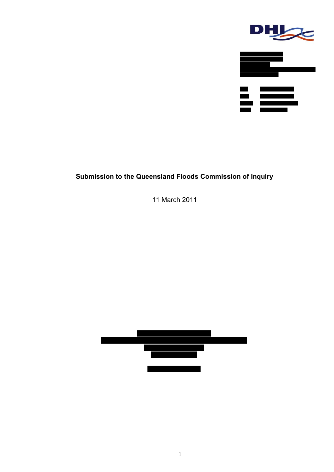

# **Submission to the Queensland Floods Commission of Inquiry**

11 March 2011

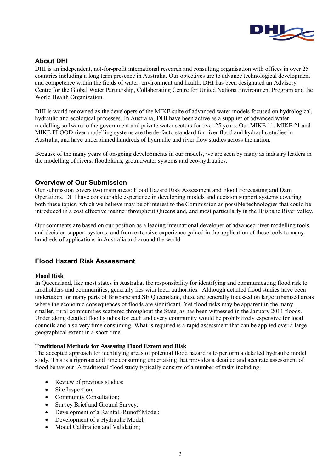

### **About DHI**

DHI is an independent, not-for-profit international research and consulting organisation with offices in over 25 countries including a long term presence in Australia. Our objectives are to advance technological development and competence within the fields of water, environment and health. DHI has been designated an Advisory Centre for the Global Water Partnership, Collaborating Centre for United Nations Environment Program and the World Health Organization.

DHI is world renowned as the developers of the MIKE suite of advanced water models focused on hydrological, hydraulic and ecological processes. In Australia, DHI have been active as a supplier of advanced water modelling software to the government and private water sectors for over 25 years. Our MIKE 11, MIKE 21 and MIKE FLOOD river modelling systems are the de-facto standard for river flood and hydraulic studies in Australia, and have underpinned hundreds of hydraulic and river flow studies across the nation.

Because of the many years of on-going developments in our models, we are seen by many as industry leaders in the modelling of rivers, floodplains, groundwater systems and eco-hydraulics.

### **Overview of Our Submission**

Our submission covers two main areas: Flood Hazard Risk Assessment and Flood Forecasting and Dam Operations. DHI have considerable experience in developing models and decision support systems covering both these topics, which we believe may be of interest to the Commission as possible technologies that could be introduced in a cost effective manner throughout Queensland, and most particularly in the Brisbane River valley.

Our comments are based on our position as a leading international developer of advanced river modelling tools and decision support systems, and from extensive experience gained in the application of these tools to many hundreds of applications in Australia and around the world.

### **Flood Hazard Risk Assessment**

### **Flood Risk**

In Queensland, like most states in Australia, the responsibility for identifying and communicating flood risk to landholders and communities, generally lies with local authorities. Although detailed flood studies have been undertaken for many parts of Brisbane and SE Queensland, these are generally focussed on large urbanised areas where the economic consequences of floods are significant. Yet flood risks may be apparent in the many smaller, rural communities scattered throughout the State, as has been witnessed in the January 2011 floods. Undertaking detailed flood studies for each and every community would be prohibitively expensive for local councils and also very time consuming. What is required is a rapid assessment that can be applied over a large geographical extent in a short time.

### **Traditional Methods for Assessing Flood Extent and Risk**

The accepted approach for identifying areas of potential flood hazard is to perform a detailed hydraulic model study. This is a rigorous and time consuming undertaking that provides a detailed and accurate assessment of flood behaviour. A traditional flood study typically consists of a number of tasks including:

- Review of previous studies;
- Site Inspection;
- Community Consultation:
- Survey Brief and Ground Survey;
- Development of a Rainfall-Runoff Model;
- Development of a Hydraulic Model;
- Model Calibration and Validation;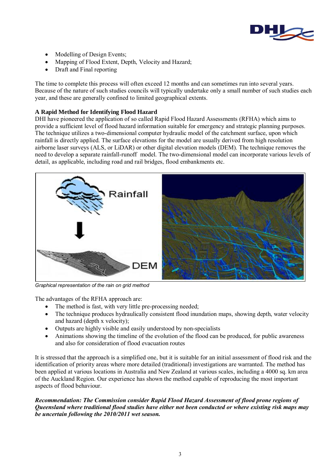

- Modelling of Design Events;
- Mapping of Flood Extent, Depth, Velocity and Hazard;
- Draft and Final reporting

The time to complete this process will often exceed 12 months and can sometimes run into several years. Because of the nature of such studies councils will typically undertake only a small number of such studies each year, and these are generally confined to limited geographical extents.

### **A Rapid Method for Identifying Flood Hazard**

DHI have pioneered the application of so called Rapid Flood Hazard Assessments (RFHA) which aims to provide a sufficient level of flood hazard information suitable for emergency and strategic planning purposes. The technique utilizes a two-dimensional computer hydraulic model of the catchment surface, upon which rainfall is directly applied. The surface elevations for the model are usually derived from high resolution airborne laser surveys (ALS, or LiDAR) or other digital elevation models (DEM). The technique removes the need to develop a separate rainfall-runoff model. The two-dimensional model can incorporate various levels of detail, as applicable, including road and rail bridges, flood embankments etc.



*Graphical representation of the rain on grid method* 

The advantages of the RFHA approach are:

- The method is fast, with very little pre-processing needed;
- The technique produces hydraulically consistent flood inundation maps, showing depth, water velocity and hazard (depth x velocity);
- Outputs are highly visible and easily understood by non-specialists
- Animations showing the timeline of the evolution of the flood can be produced, for public awareness and also for consideration of flood evacuation routes

It is stressed that the approach is a simplified one, but it is suitable for an initial assessment of flood risk and the identification of priority areas where more detailed (traditional) investigations are warranted. The method has been applied at various locations in Australia and New Zealand at various scales, including a 4000 sq. km area of the Auckland Region. Our experience has shown the method capable of reproducing the most important aspects of flood behaviour.

*Recommendation: The Commission consider Rapid Flood Hazard Assessment of flood prone regions of Queensland where traditional flood studies have either not been conducted or where existing risk maps may be uncertain following the 2010/2011 wet season.*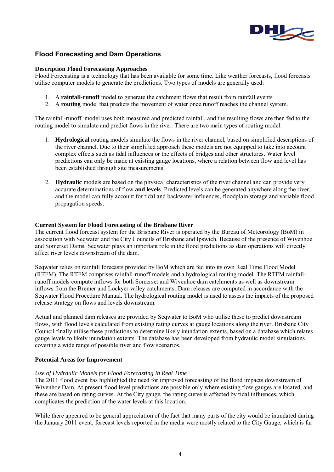

## **Flood Forecasting and Dam Operations**

#### **Description Flood Forecasting Approaches**

Flood Forecasting is a technology that has been available for some time. Like weather forecasts, flood forecasts utilise computer models to generate the predictions. Two types of models are generally used:

- 1. A **rainfall-runoff** model to generate the catchment flows that result from rainfall events
- 2. A **routing** model that predicts the movement of water once runoff reaches the channel system.

The rainfall-runoff model uses both measured and predicted rainfall, and the resulting flows are then fed to the routing model to simulate and predict flows in the river. There are two main types of routing model:

- 1. **Hydrological** routing models simulate the flows in the river channel, based on simplified descriptions of the river channel. Due to their simplified approach these models are not equipped to take into account complex effects such as tidal influences or the effects of bridges and other structures. Water level predictions can only be made at existing gauge locations, where a relation between flow and level has been established through site measurements.
- 2. **Hydraulic** models are based on the physical characteristics of the river channel and can provide very accurate determinations of flow **and levels**. Predicted levels can be generated anywhere along the river, and the model can fully account for tidal and backwater influences, floodplain storage and variable flood propagation speeds.

#### **Current System for Flood Forecasting of the Brisbane River**

The current flood forecast system for the Brisbane River is operated by the Bureau of Meteorology (BoM) in association with Seqwater and the City Councils of Brisbane and Ipswich. Because of the presence of Wivenhoe and Somerset Dams, Seqwater plays an important role in the flood predictions as dam operations will directly affect river levels downstream of the dam.

Seqwater relies on rainfall forecasts provided by BoM which are fed into its own Real Time Flood Model (RTFM). The RTFM comprises rainfall-runoff models and a hydrological routing model. The RTFM rainfallrunoff models compute inflows for both Somerset and Wivenhoe dam catchments as well as downstream inflows from the Bremer and Lockyer valley catchments. Dam releases are computed in accordance with the Seqwater Flood Procedure Manual. The hydrological routing model is used to assess the impacts of the proposed release strategy on flows and levels downstream.

Actual and planned dam releases are provided by Seqwater to BoM who utilise these to predict downstream flows, with flood levels calculated from existing rating curves at gauge locations along the river. Brisbane City Council finally utilise these predictions to determine likely inundation extents, based on a database which relates gauge levels to likely inundation extents. The database has been developed from hydraulic model simulations covering a wide range of possible river and flow scenarios.

### **Potential Areas for Improvement**

### *Use of Hydraulic Models for Flood Forecasting in Real Time*

The 2011 flood event has highlighted the need for improved forecasting of the flood impacts downstream of Wivenhoe Dam. At present flood level predictions are possible only where existing flow gauges are located, and these are based on rating curves. At the City gauge, the rating curve is affected by tidal influences, which complicates the prediction of the water levels at this location.

While there appeared to be general appreciation of the fact that many parts of the city would be inundated during the January 2011 event, forecast levels reported in the media were mostly related to the City Gauge, which is far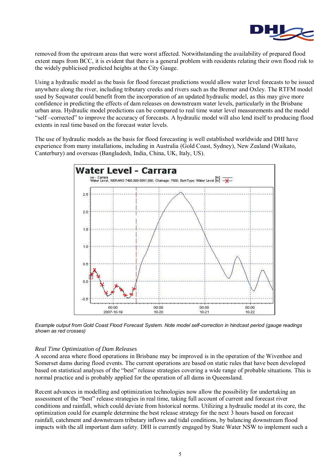

removed from the upstream areas that were worst affected. Notwithstanding the availability of prepared flood extent maps from BCC, it is evident that there is a general problem with residents relating their own flood risk to the widely publicised predicted heights at the City Gauge.

Using a hydraulic model as the basis for flood forecast predictions would allow water level forecasts to be issued anywhere along the river, including tributary creeks and rivers such as the Bremer and Oxley. The RTFM model used by Seqwater could benefit from the incorporation of an updated hydraulic model, as this may give more confidence in predicting the effects of dam releases on downstream water levels, particularly in the Brisbane urban area. Hydraulic model predictions can be compared to real time water level measurements and the model "self –corrected" to improve the accuracy of forecasts. A hydraulic model will also lend itself to producing flood extents in real time based on the forecast water levels.

The use of hydraulic models as the basis for flood forecasting is well established worldwide and DHI have experience from many installations, including in Australia (Gold Coast, Sydney), New Zealand (Waikato, Canterbury) and overseas (Bangladesh, India, China, UK, Italy, US).



*Example output from Gold Coast Flood Forecast System. Note model self-correction in hindcast period (gauge readings shown as red crosses)* 

#### *Real Time Optimization of Dam Releases*

A second area where flood operations in Brisbane may be improved is in the operation of the Wivenhoe and Somerset dams during flood events. The current operations are based on static rules that have been developed based on statistical analyses of the "best" release strategies covering a wide range of probable situations. This is normal practice and is probably applied for the operation of all dams in Queensland.

Recent advances in modelling and optimization technologies now allow the possibility for undertaking an assessment of the "best" release strategies in real time, taking full account of current and forecast river conditions and rainfall, which could deviate from historical norms. Utilizing a hydraulic model at its core, the optimization could for example determine the best release strategy for the next 3 hours based on forecast rainfall, catchment and downstream tributary inflows and tidal conditions, by balancing downstream flood impacts with the all important dam safety. DHI is currently engaged by State Water NSW to implement such a